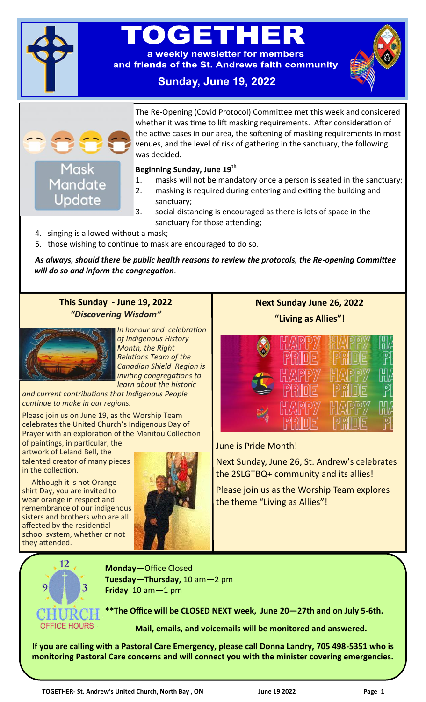

# $\bullet$   $\bullet$   $\bullet$   $\bullet$   $\bullet$

a weekly newsletter for members and friends of the St. Andrews faith community

# **Sunday, June 19, 2022**



The Re-Opening (Covid Protocol) Committee met this week and considered whether it was time to lift masking requirements. After consideration of the active cases in our area, the softening of masking requirements in most venues, and the level of risk of gathering in the sanctuary, the following was decided.

#### **Beginning Sunday, June 19th**

- 1. masks will not be mandatory once a person is seated in the sanctuary;
- 2. masking is required during entering and exiting the building and sanctuary;
- 3. social distancing is encouraged as there is lots of space in the sanctuary for those attending;
- 4. singing is allowed without a mask;
- 5. those wishing to continue to mask are encouraged to do so.

*As always, should there be public health reasons to review the protocols, the Re-opening Committee will do so and inform the congregation*.

### **This Sunday - June 19, 2022** *"Discovering Wisdom"*



*In honour and celebration of Indigenous History Month, the Right Relations Team of the Canadian Shield Region is inviting congregations to learn about the historic* 

*and current contributions that Indigenous People continue to make in our regions.* 

Please join us on June 19, as the Worship Team celebrates the United Church's Indigenous Day of Prayer with an exploration of the Manitou Collection

of paintings, in particular, the artwork of Leland Bell, the talented creator of many pieces in the collection.

 Although it is not Orange shirt Day, you are invited to wear orange in respect and remembrance of our indigenous sisters and brothers who are all affected by the residential school system, whether or not they attended.



**Next Sunday June 26, 2022**

**"Living as Allies"!**



June is Pride Month!

Next Sunday, June 26, St. Andrew's celebrates the 2SLGTBQ+ community and its allies!

Please join us as the Worship Team explores the theme "Living as Allies"!



**Monday**—Office Closed **Tuesday—Thursday,** 10 am—2 pm **Friday** 10 am—1 pm

**\*\*The Office will be CLOSED NEXT week, June 20—27th and on July 5-6th.**

**Mail, emails, and voicemails will be monitored and answered.** 

**If you are calling with a Pastoral Care Emergency, please call Donna Landry, 705 498-5351 who is monitoring Pastoral Care concerns and will connect you with the minister covering emergencies.**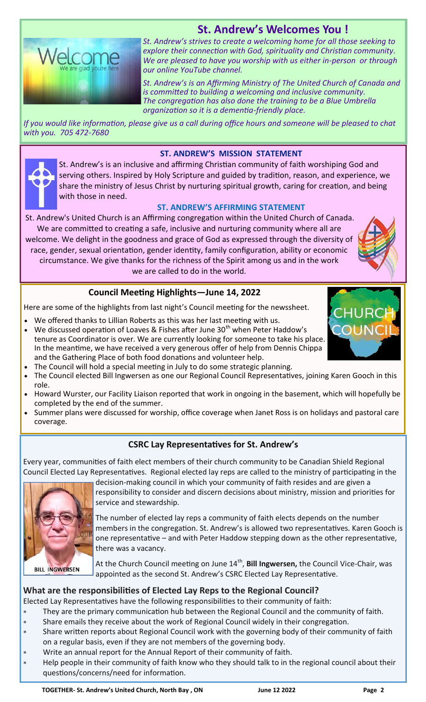# **St. Andrew's Welcomes You !**



*St. Andrew's strives to create a welcoming home for all those seeking to explore their connection with God, spirituality and Christian community. We are pleased to have you worship with us either in-person or through our online YouTube channel.* 

*St. Andrew's is an Affirming Ministry of The United Church of Canada and is committed to building a welcoming and inclusive community. The congregation has also done the training to be a Blue Umbrella organization so it is a dementia-friendly place.* 

*If you would like information, please give us a call during office hours and someone will be pleased to chat with you. 705 472-7680*

#### **ST. ANDREW'S MISSION STATEMENT**

St. Andrew's is an inclusive and affirming Christian community of faith worshiping God and serving others. Inspired by Holy Scripture and guided by tradition, reason, and experience, we share the ministry of Jesus Christ by nurturing spiritual growth, caring for creation, and being with those in need.

#### **ST. ANDREW'S AFFIRMING STATEMENT**

St. Andrew's United Church is an Affirming congregation within the United Church of Canada. We are committed to creating a safe, inclusive and nurturing community where all are

welcome. We delight in the goodness and grace of God as expressed through the diversity of race, gender, sexual orientation, gender identity, family configuration, ability or economic circumstance. We give thanks for the richness of the Spirit among us and in the work we are called to do in the world.

#### **Council Meeting Highlights—June 14, 2022**

Here are some of the highlights from last night's Council meeting for the newssheet.

- We offered thanks to Lillian Roberts as this was her last meeting with us.
- We discussed operation of Loaves & Fishes after June  $30<sup>th</sup>$  when Peter Haddow's tenure as Coordinator is over. We are currently looking for someone to take his place. In the meantime, we have received a very generous offer of help from Dennis Chippa and the Gathering Place of both food donations and volunteer help.
- The Council will hold a special meeting in July to do some strategic planning.
- The Council elected Bill Ingwersen as one our Regional Council Representatives, joining Karen Gooch in this role.
- Howard Wurster, our Facility Liaison reported that work in ongoing in the basement, which will hopefully be completed by the end of the summer.
- Summer plans were discussed for worship, office coverage when Janet Ross is on holidays and pastoral care coverage.

#### **CSRC Lay Representatives for St. Andrew's**

Every year, communities of faith elect members of their church community to be Canadian Shield Regional Council Elected Lay Representatives. Regional elected lay reps are called to the ministry of participating in the



decision-making council in which your community of faith resides and are given a responsibility to consider and discern decisions about ministry, mission and priorities for service and stewardship.

The number of elected lay reps a community of faith elects depends on the number members in the congregation. St. Andrew's is allowed two representatives. Karen Gooch is one representative – and with Peter Haddow stepping down as the other representative, there was a vacancy.

At the Church Council meeting on June 14<sup>th</sup>, **Bill Ingwersen,** the Council Vice-Chair, was appointed as the second St. Andrew's CSRC Elected Lay Representative.

#### **What are the responsibilities of Elected Lay Reps to the Regional Council?**

Elected Lay Representatives have the following responsibilities to their community of faith:

- They are the primary communication hub between the Regional Council and the community of faith.
	- Share emails they receive about the work of Regional Council widely in their congregation.
- Share written reports about Regional Council work with the governing body of their community of faith on a regular basis, even if they are not members of the governing body.
- Write an annual report for the Annual Report of their community of faith.
- Help people in their community of faith know who they should talk to in the regional council about their questions/concerns/need for information.

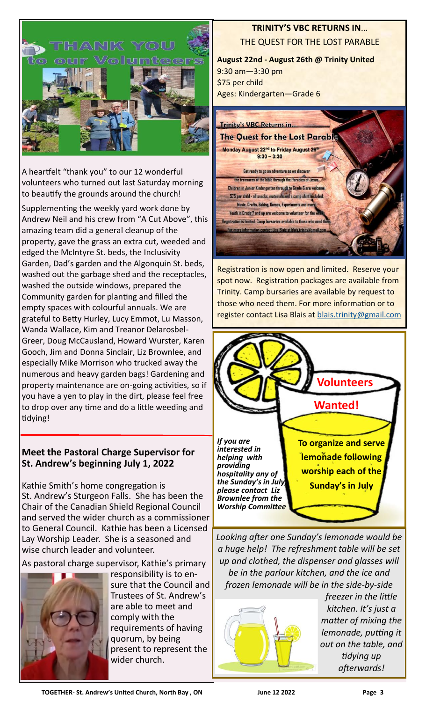

A heartfelt "thank you" to our 12 wonderful volunteers who turned out last Saturday morning to beautify the grounds around the church!

Supplementing the weekly yard work done by Andrew Neil and his crew from "A Cut Above", this amazing team did a general cleanup of the property, gave the grass an extra cut, weeded and edged the McIntyre St. beds, the Inclusivity Garden, Dad's garden and the Algonquin St. beds, washed out the garbage shed and the receptacles, washed the outside windows, prepared the Community garden for planting and filled the empty spaces with colourful annuals. We are grateful to Betty Hurley, Lucy Emmot, Lu Masson, Wanda Wallace, Kim and Treanor Delarosbel-Greer, Doug McCausland, Howard Wurster, Karen Gooch, Jim and Donna Sinclair, Liz Brownlee, and especially Mike Morrison who trucked away the numerous and heavy garden bags! Gardening and property maintenance are on-going activities, so if you have a yen to play in the dirt, please feel free to drop over any time and do a little weeding and tidying!

# **Meet the Pastoral Charge Supervisor for St. Andrew's beginning July 1, 2022**

Kathie Smith's home congregation is St. Andrew's Sturgeon Falls. She has been the Chair of the Canadian Shield Regional Council and served the wider church as a commissioner to General Council. Kathie has been a Licensed Lay Worship Leader. She is a seasoned and wise church leader and volunteer.

As pastoral charge supervisor, Kathie's primary



responsibility is to ensure that the Council and Trustees of St. Andrew's are able to meet and comply with the requirements of having quorum, by being present to represent the wider church.

# **TRINITY'S VBC RETURNS IN**… THE QUEST FOR THE LOST PARABLE

**August 22nd - August 26th @ Trinity United** 9:30 am—3:30 pm \$75 per child Ages: Kindergarten—Grade 6



Registration is now open and limited. Reserve your spot now. Registration packages are available from Trinity. Camp bursaries are available by request to those who need them. For more information or to register contact Lisa Blais at [blais.trinity@gmail.com](mailto:blais.trinity@gmail.com)



*Looking after one Sunday's lemonade would be a huge help! The refreshment table will be set up and clothed, the dispenser and glasses will be in the parlour kitchen, and the ice and frozen lemonade will be in the side-by-side* 



*freezer in the little kitchen. It's just a matter of mixing the lemonade, putting it out on the table, and tidying up afterwards!*

**TOGETHER- St. Andrew's United Church, North Bay , ON June 12 2022 Page 3**